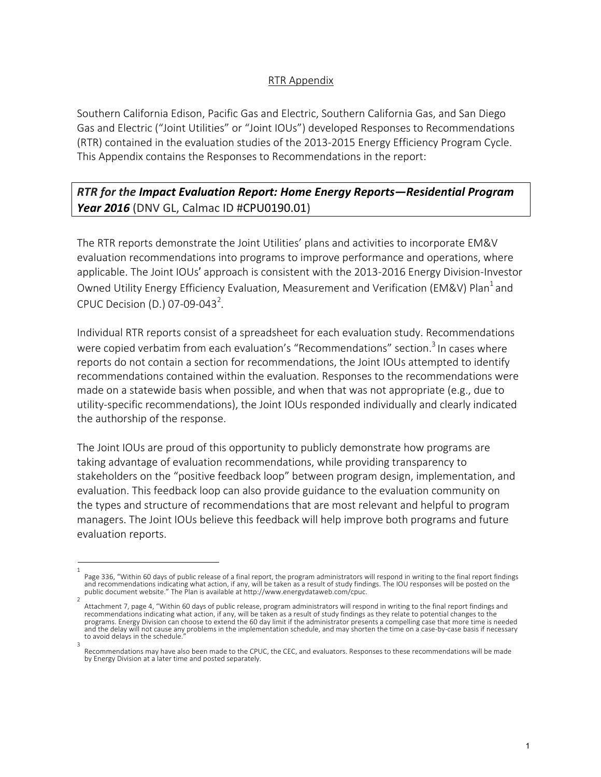## RTR Appendix

Southern California Edison, Pacific Gas and Electric, Southern California Gas, and San Diego Gas and Electric ("Joint Utilities" or "Joint IOUs") developed Responses to Recommendations (RTR) contained in the evaluation studies of the 2013-2015 Energy Efficiency Program Cycle. This Appendix contains the Responses to Recommendations in the report:

## *RTR for the Impact Evaluation Report: Home Energy Reports—Residential Program*  **Year 2016** (DNV GL, Calmac ID #CPU0190.01)

The RTR reports demonstrate the Joint Utilities' plans and activities to incorporate EM&V evaluation recommendations into programs to improve performance and operations, where applicable. The Joint IOUs' approach is consistent with the 2013-2016 Energy Division-Investor Owned Utility Energy Efficiency Evaluation, Measurement and Verification (EM&V) Plan<sup>1</sup> and CPUC Decision (D.) 07-09-043<sup>2</sup>.

Individual RTR reports consist of a spreadsheet for each evaluation study. Recommendations were copied verbatim from each evaluation's "Recommendations" section.<sup>3</sup> In cases where reports do not contain a section for recommendations, the Joint IOUs attempted to identify recommendations contained within the evaluation. Responses to the recommendations were made on a statewide basis when possible, and when that was not appropriate (e.g., due to utility-specific recommendations), the Joint IOUs responded individually and clearly indicated the authorship of the response.

The Joint IOUs are proud of this opportunity to publicly demonstrate how programs are taking advantage of evaluation recommendations, while providing transparency to stakeholders on the "positive feedback loop" between program design, implementation, and evaluation. This feedback loop can also provide guidance to the evaluation community on the types and structure of recommendations that are most relevant and helpful to program managers. The Joint IOUs believe this feedback will help improve both programs and future evaluation reports.

<sup>1</sup>  Page 336, "Within 60 days of public release of a final report, the program administrators will respond in writing to the final report findings and recommendations indicating what action, if any, will be taken as a result of study findings. The IOU responses will be posted on the public document website." The Plan is available at http://www.energydataweb.com/cpuc.

Attachment 7, page 4, "Within 60 days of public release, program administrators will respond in writing to the final report findings and recommendations indicating what action, if any, will be taken as a result of study findings as they relate to potential changes to the programs. Energy Division can choose to extend the 60 day limit if the administrator presents a compelling case that more time is needed and the delay will not cause any problems in the implementation schedule, and may shorten the time on a case-by-case basis if necessary to avoid delays in the schedule. 3

Recommendations may have also been made to the CPUC, the CEC, and evaluators. Responses to these recommendations will be made by Energy Division at a later time and posted separately.